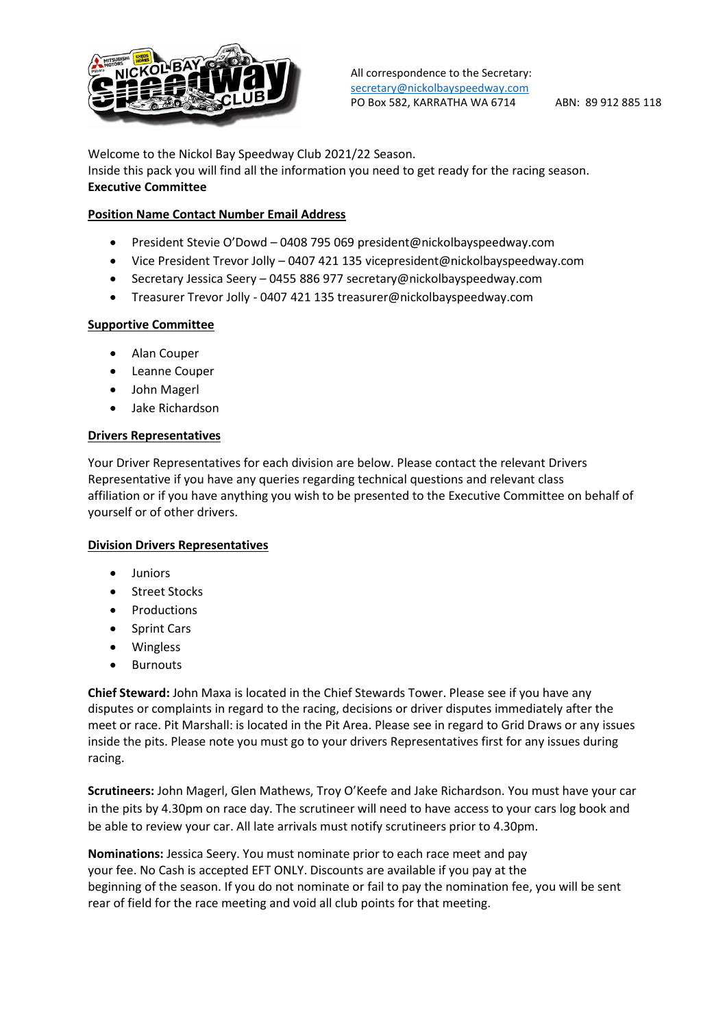

Welcome to the Nickol Bay Speedway Club 2021/22 Season.

Inside this pack you will find all the information you need to get ready for the racing season. **Executive Committee**

# **Position Name Contact Number Email Address**

- President Stevie O'Dowd 0408 795 069 president@nickolbayspeedway.com
- Vice President Trevor Jolly 0407 421 135 vicepresident@nickolbayspeedway.com
- Secretary Jessica Seery 0455 886 977 secretary@nickolbayspeedway.com
- Treasurer Trevor Jolly 0407 421 135 treasurer@nickolbayspeedway.com

### **Supportive Committee**

- Alan Couper
- Leanne Couper
- John Magerl
- Jake Richardson

#### **Drivers Representatives**

Your Driver Representatives for each division are below. Please contact the relevant Drivers Representative if you have any queries regarding technical questions and relevant class affiliation or if you have anything you wish to be presented to the Executive Committee on behalf of yourself or of other drivers.

### **Division Drivers Representatives**

- Juniors
- **Street Stocks**
- Productions
- Sprint Cars
- **Wingless**
- Burnouts

**Chief Steward:** John Maxa is located in the Chief Stewards Tower. Please see if you have any disputes or complaints in regard to the racing, decisions or driver disputes immediately after the meet or race. Pit Marshall: is located in the Pit Area. Please see in regard to Grid Draws or any issues inside the pits. Please note you must go to your drivers Representatives first for any issues during racing.

**Scrutineers:** John Magerl, Glen Mathews, Troy O'Keefe and Jake Richardson. You must have your car in the pits by 4.30pm on race day. The scrutineer will need to have access to your cars log book and be able to review your car. All late arrivals must notify scrutineers prior to 4.30pm.

**Nominations:** Jessica Seery. You must nominate prior to each race meet and pay your fee. No Cash is accepted EFT ONLY. Discounts are available if you pay at the beginning of the season. If you do not nominate or fail to pay the nomination fee, you will be sent rear of field for the race meeting and void all club points for that meeting.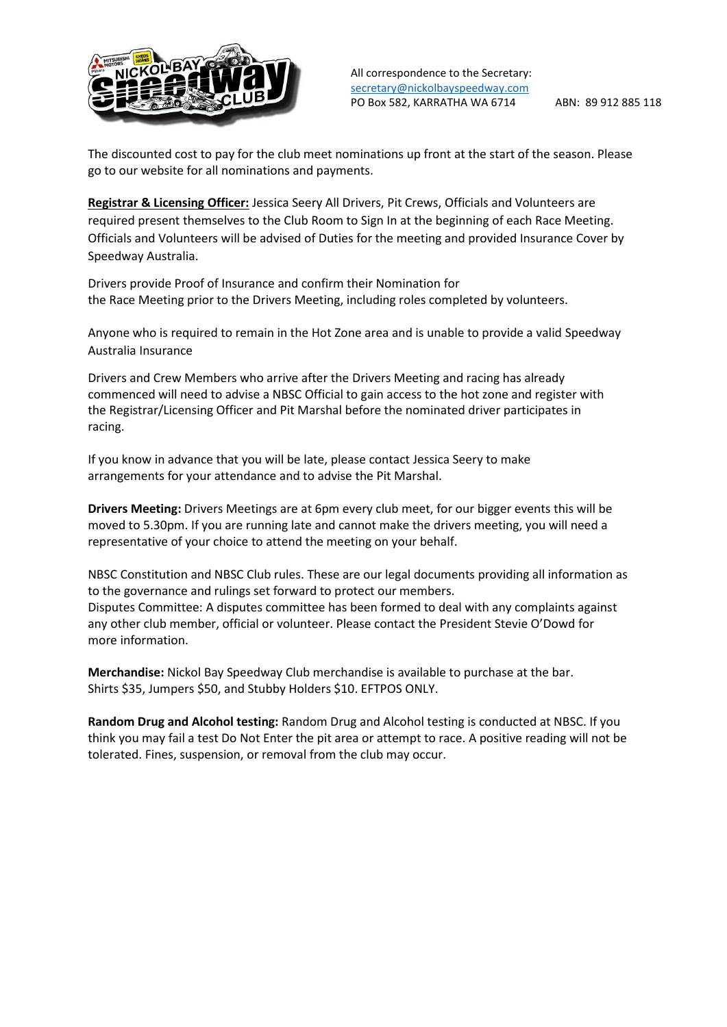

The discounted cost to pay for the club meet nominations up front at the start of the season. Please go to our website for all nominations and payments.

**Registrar & Licensing Officer:** Jessica Seery All Drivers, Pit Crews, Officials and Volunteers are required present themselves to the Club Room to Sign In at the beginning of each Race Meeting. Officials and Volunteers will be advised of Duties for the meeting and provided Insurance Cover by Speedway Australia.

Drivers provide Proof of Insurance and confirm their Nomination for the Race Meeting prior to the Drivers Meeting, including roles completed by volunteers.

Anyone who is required to remain in the Hot Zone area and is unable to provide a valid Speedway Australia Insurance

Drivers and Crew Members who arrive after the Drivers Meeting and racing has already commenced will need to advise a NBSC Official to gain access to the hot zone and register with the Registrar/Licensing Officer and Pit Marshal before the nominated driver participates in racing.

If you know in advance that you will be late, please contact Jessica Seery to make arrangements for your attendance and to advise the Pit Marshal.

**Drivers Meeting:** Drivers Meetings are at 6pm every club meet, for our bigger events this will be moved to 5.30pm. If you are running late and cannot make the drivers meeting, you will need a representative of your choice to attend the meeting on your behalf.

NBSC Constitution and NBSC Club rules. These are our legal documents providing all information as to the governance and rulings set forward to protect our members. Disputes Committee: A disputes committee has been formed to deal with any complaints against any other club member, official or volunteer. Please contact the President Stevie O'Dowd for more information.

**Merchandise:** Nickol Bay Speedway Club merchandise is available to purchase at the bar. Shirts \$35, Jumpers \$50, and Stubby Holders \$10. EFTPOS ONLY.

**Random Drug and Alcohol testing:** Random Drug and Alcohol testing is conducted at NBSC. If you think you may fail a test Do Not Enter the pit area or attempt to race. A positive reading will not be tolerated. Fines, suspension, or removal from the club may occur.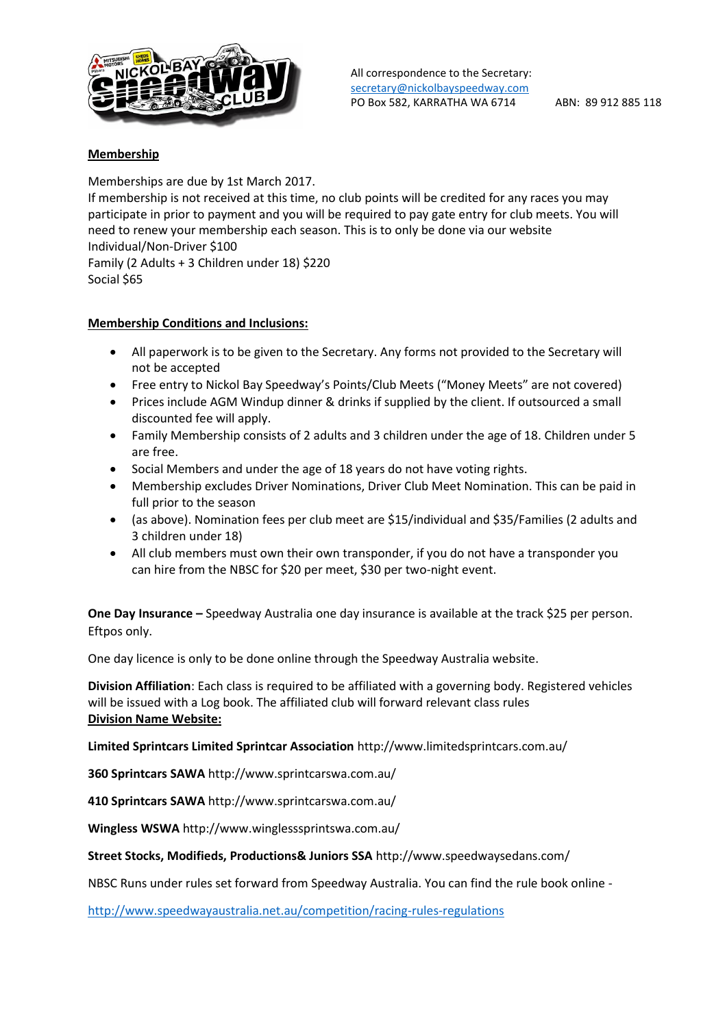

## **Membership**

Memberships are due by 1st March 2017. If membership is not received at this time, no club points will be credited for any races you may participate in prior to payment and you will be required to pay gate entry for club meets. You will need to renew your membership each season. This is to only be done via our website Individual/Non-Driver \$100 Family (2 Adults + 3 Children under 18) \$220 Social \$65

## **Membership Conditions and Inclusions:**

- All paperwork is to be given to the Secretary. Any forms not provided to the Secretary will not be accepted
- Free entry to Nickol Bay Speedway's Points/Club Meets ("Money Meets" are not covered)
- Prices include AGM Windup dinner & drinks if supplied by the client. If outsourced a small discounted fee will apply.
- Family Membership consists of 2 adults and 3 children under the age of 18. Children under 5 are free.
- Social Members and under the age of 18 years do not have voting rights.
- Membership excludes Driver Nominations, Driver Club Meet Nomination. This can be paid in full prior to the season
- (as above). Nomination fees per club meet are \$15/individual and \$35/Families (2 adults and 3 children under 18)
- All club members must own their own transponder, if you do not have a transponder you can hire from the NBSC for \$20 per meet, \$30 per two-night event.

**One Day Insurance –** Speedway Australia one day insurance is available at the track \$25 per person. Eftpos only.

One day licence is only to be done online through the Speedway Australia website.

**Division Affiliation**: Each class is required to be affiliated with a governing body. Registered vehicles will be issued with a Log book. The affiliated club will forward relevant class rules **Division Name Website:**

**Limited Sprintcars Limited Sprintcar Association** http://www.limitedsprintcars.com.au/

**360 Sprintcars SAWA** http://www.sprintcarswa.com.au/

**410 Sprintcars SAWA** http://www.sprintcarswa.com.au/

**Wingless WSWA** http://www.winglesssprintswa.com.au/

**Street Stocks, Modifieds, Productions& Juniors SSA** http://www.speedwaysedans.com/

NBSC Runs under rules set forward from Speedway Australia. You can find the rule book online -

<http://www.speedwayaustralia.net.au/competition/racing-rules-regulations>